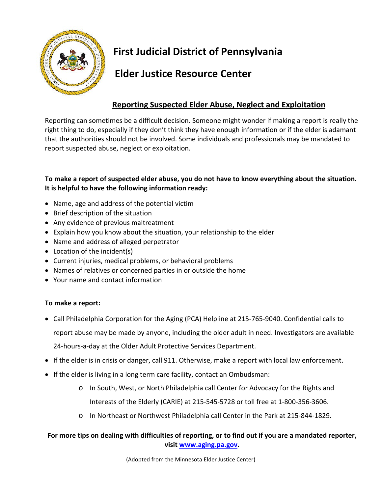

# **First Judicial District of Pennsylvania**

### **Elder Justice Resource Center**

### **Reporting Suspected Elder Abuse, Neglect and Exploitation**

Reporting can sometimes be a difficult decision. Someone might wonder if making a report is really the right thing to do, especially if they don't think they have enough information or if the elder is adamant that the authorities should not be involved. Some individuals and professionals may be mandated to report suspected abuse, neglect or exploitation.

#### **To make a report of suspected elder abuse, you do not have to know everything about the situation. It is helpful to have the following information ready:**

- Name, age and address of the potential victim
- Brief description of the situation
- Any evidence of previous maltreatment
- Explain how you know about the situation, your relationship to the elder
- Name and address of alleged perpetrator
- Location of the incident(s)
- Current injuries, medical problems, or behavioral problems
- Names of relatives or concerned parties in or outside the home
- Your name and contact information

#### **To make a report:**

- Call Philadelphia Corporation for the Aging (PCA) Helpline at 215-765-9040. Confidential calls to report abuse may be made by anyone, including the older adult in need. Investigators are available 24-hours-a-day at the Older Adult Protective Services Department.
- If the elder is in crisis or danger, call 911. Otherwise, make a report with local law enforcement.
- If the elder is living in a long term care facility, contact an Ombudsman:
	- o In South, West, or North Philadelphia call Center for Advocacy for the Rights and Interests of the Elderly (CARIE) at 215-545-5728 or toll free at 1-800-356-3606.
	- o In Northeast or Northwest Philadelphia call Center in the Park at 215-844-1829.

#### **For more tips on dealing with difficulties of reporting, or to find out if you are a mandated reporter, visit [www.aging.pa.gov.](http://www.aging.pa.gov/)**